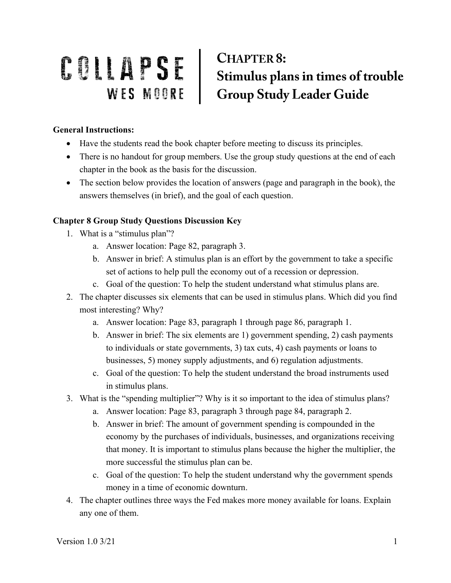## COLLAPSE Stimulus plans in times of trouble<br>WES MOORE Group Study Leader Guide **CHAPTER 8:**

## **General Instructions:**

- Have the students read the book chapter before meeting to discuss its principles.
- There is no handout for group members. Use the group study questions at the end of each chapter in the book as the basis for the discussion.
- The section below provides the location of answers (page and paragraph in the book), the answers themselves (in brief), and the goal of each question.

## **Chapter 8 Group Study Questions Discussion Key**

- 1. What is a "stimulus plan"?
	- a. Answer location: Page 82, paragraph 3.
	- b. Answer in brief: A stimulus plan is an effort by the government to take a specific set of actions to help pull the economy out of a recession or depression.
	- c. Goal of the question: To help the student understand what stimulus plans are.
- 2. The chapter discusses six elements that can be used in stimulus plans. Which did you find most interesting? Why?
	- a. Answer location: Page 83, paragraph 1 through page 86, paragraph 1.
	- b. Answer in brief: The six elements are 1) government spending, 2) cash payments to individuals or state governments, 3) tax cuts, 4) cash payments or loans to businesses, 5) money supply adjustments, and 6) regulation adjustments.
	- c. Goal of the question: To help the student understand the broad instruments used in stimulus plans.
- 3. What is the "spending multiplier"? Why is it so important to the idea of stimulus plans?
	- a. Answer location: Page 83, paragraph 3 through page 84, paragraph 2.
	- b. Answer in brief: The amount of government spending is compounded in the economy by the purchases of individuals, businesses, and organizations receiving that money. It is important to stimulus plans because the higher the multiplier, the more successful the stimulus plan can be.
	- c. Goal of the question: To help the student understand why the government spends money in a time of economic downturn.
- 4. The chapter outlines three ways the Fed makes more money available for loans. Explain any one of them.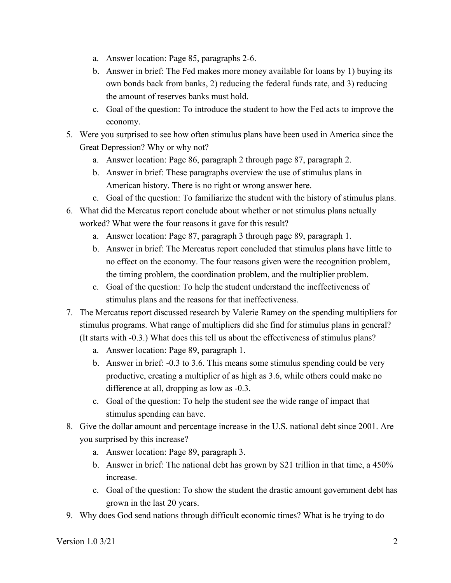- a. Answer location: Page 85, paragraphs 2-6.
- b. Answer in brief: The Fed makes more money available for loans by 1) buying its own bonds back from banks, 2) reducing the federal funds rate, and 3) reducing the amount of reserves banks must hold.
- c. Goal of the question: To introduce the student to how the Fed acts to improve the economy.
- 5. Were you surprised to see how often stimulus plans have been used in America since the Great Depression? Why or why not?
	- a. Answer location: Page 86, paragraph 2 through page 87, paragraph 2.
	- b. Answer in brief: These paragraphs overview the use of stimulus plans in American history. There is no right or wrong answer here.
	- c. Goal of the question: To familiarize the student with the history of stimulus plans.
- 6. What did the Mercatus report conclude about whether or not stimulus plans actually worked? What were the four reasons it gave for this result?
	- a. Answer location: Page 87, paragraph 3 through page 89, paragraph 1.
	- b. Answer in brief: The Mercatus report concluded that stimulus plans have little to no effect on the economy. The four reasons given were the recognition problem, the timing problem, the coordination problem, and the multiplier problem.
	- c. Goal of the question: To help the student understand the ineffectiveness of stimulus plans and the reasons for that ineffectiveness.
- 7. The Mercatus report discussed research by Valerie Ramey on the spending multipliers for stimulus programs. What range of multipliers did she find for stimulus plans in general? (It starts with -0.3.) What does this tell us about the effectiveness of stimulus plans?
	- a. Answer location: Page 89, paragraph 1.
	- b. Answer in brief:  $-0.3$  to 3.6. This means some stimulus spending could be very productive, creating a multiplier of as high as 3.6, while others could make no difference at all, dropping as low as -0.3.
	- c. Goal of the question: To help the student see the wide range of impact that stimulus spending can have.
- 8. Give the dollar amount and percentage increase in the U.S. national debt since 2001. Are you surprised by this increase?
	- a. Answer location: Page 89, paragraph 3.
	- b. Answer in brief: The national debt has grown by \$21 trillion in that time, a 450% increase.
	- c. Goal of the question: To show the student the drastic amount government debt has grown in the last 20 years.
- 9. Why does God send nations through difficult economic times? What is he trying to do